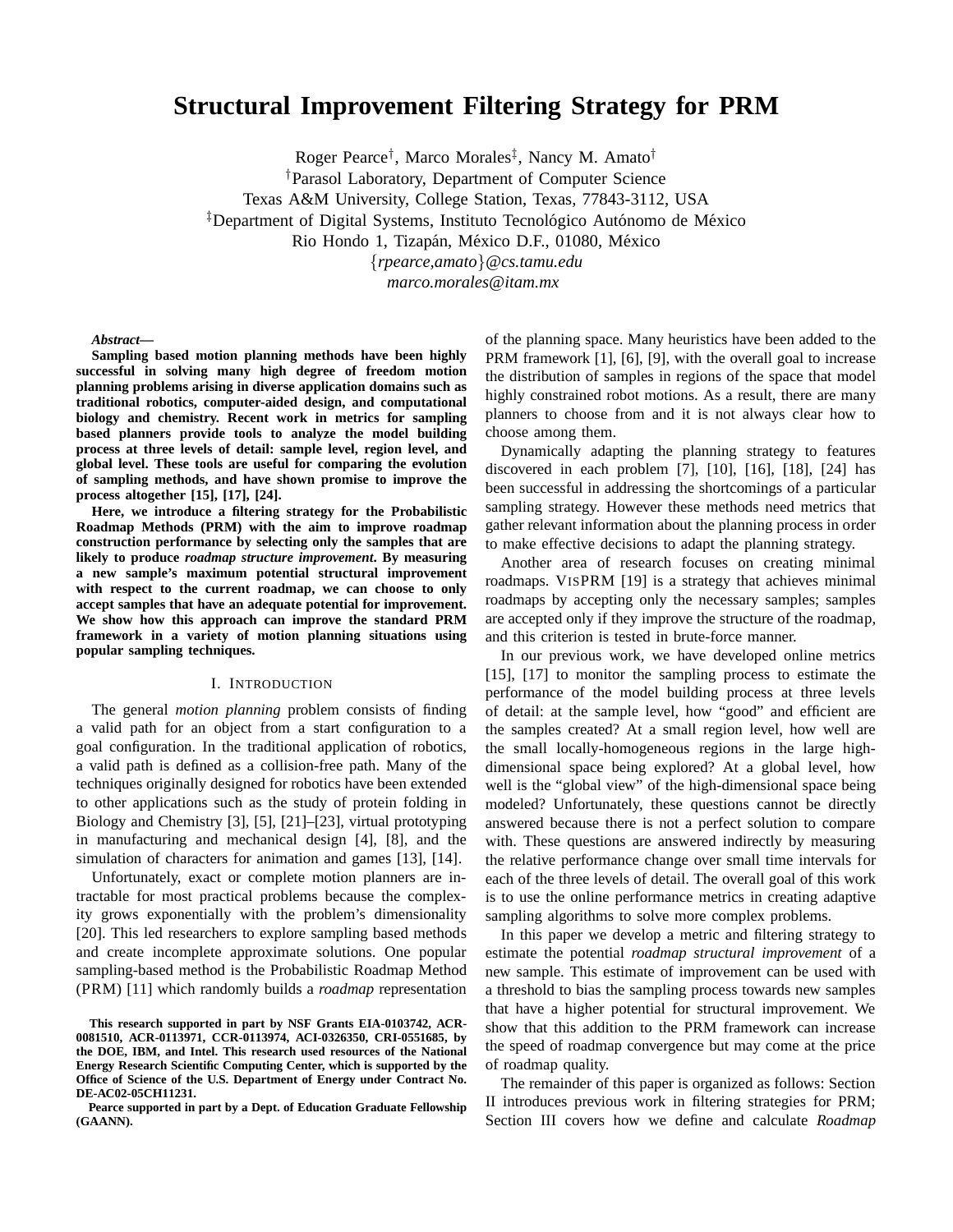# **Structural Improvement Filtering Strategy for PRM**

Roger Pearce† , Marco Morales‡ , Nancy M. Amato†

†Parasol Laboratory, Department of Computer Science

Texas A&M University, College Station, Texas, 77843-3112, USA

 $\overline{P}$ Department of Digital Systems, Instituto Tecnológico Autónomo de México

Rio Hondo 1, Tizapán, México D.F., 01080, México

{*rpearce,amato*}*@cs.tamu.edu*

*marco.morales@itam.mx*

*Abstract***—**

**Sampling based motion planning methods have been highly successful in solving many high degree of freedom motion planning problems arising in diverse application domains such as traditional robotics, computer-aided design, and computational biology and chemistry. Recent work in metrics for sampling based planners provide tools to analyze the model building process at three levels of detail: sample level, region level, and global level. These tools are useful for comparing the evolution of sampling methods, and have shown promise to improve the process altogether [15], [17], [24].**

**Here, we introduce a filtering strategy for the Probabilistic Roadmap Methods (PRM) with the aim to improve roadmap construction performance by selecting only the samples that are likely to produce** *roadmap structure improvement***. By measuring a new sample's maximum potential structural improvement with respect to the current roadmap, we can choose to only accept samples that have an adequate potential for improvement. We show how this approach can improve the standard PRM framework in a variety of motion planning situations using popular sampling techniques.**

#### I. INTRODUCTION

The general *motion planning* problem consists of finding a valid path for an object from a start configuration to a goal configuration. In the traditional application of robotics, a valid path is defined as a collision-free path. Many of the techniques originally designed for robotics have been extended to other applications such as the study of protein folding in Biology and Chemistry [3], [5], [21]–[23], virtual prototyping in manufacturing and mechanical design [4], [8], and the simulation of characters for animation and games [13], [14].

Unfortunately, exact or complete motion planners are intractable for most practical problems because the complexity grows exponentially with the problem's dimensionality [20]. This led researchers to explore sampling based methods and create incomplete approximate solutions. One popular sampling-based method is the Probabilistic Roadmap Method (PRM) [11] which randomly builds a *roadmap* representation

**Pearce supported in part by a Dept. of Education Graduate Fellowship (GAANN).**

of the planning space. Many heuristics have been added to the PRM framework [1], [6], [9], with the overall goal to increase the distribution of samples in regions of the space that model highly constrained robot motions. As a result, there are many planners to choose from and it is not always clear how to choose among them.

Dynamically adapting the planning strategy to features discovered in each problem [7], [10], [16], [18], [24] has been successful in addressing the shortcomings of a particular sampling strategy. However these methods need metrics that gather relevant information about the planning process in order to make effective decisions to adapt the planning strategy.

Another area of research focuses on creating minimal roadmaps. VISPRM [19] is a strategy that achieves minimal roadmaps by accepting only the necessary samples; samples are accepted only if they improve the structure of the roadmap, and this criterion is tested in brute-force manner.

In our previous work, we have developed online metrics [15], [17] to monitor the sampling process to estimate the performance of the model building process at three levels of detail: at the sample level, how "good" and efficient are the samples created? At a small region level, how well are the small locally-homogeneous regions in the large highdimensional space being explored? At a global level, how well is the "global view" of the high-dimensional space being modeled? Unfortunately, these questions cannot be directly answered because there is not a perfect solution to compare with. These questions are answered indirectly by measuring the relative performance change over small time intervals for each of the three levels of detail. The overall goal of this work is to use the online performance metrics in creating adaptive sampling algorithms to solve more complex problems.

In this paper we develop a metric and filtering strategy to estimate the potential *roadmap structural improvement* of a new sample. This estimate of improvement can be used with a threshold to bias the sampling process towards new samples that have a higher potential for structural improvement. We show that this addition to the PRM framework can increase the speed of roadmap convergence but may come at the price of roadmap quality.

The remainder of this paper is organized as follows: Section II introduces previous work in filtering strategies for PRM; Section III covers how we define and calculate *Roadmap*

**This research supported in part by NSF Grants EIA-0103742, ACR-0081510, ACR-0113971, CCR-0113974, ACI-0326350, CRI-0551685, by the DOE, IBM, and Intel. This research used resources of the National Energy Research Scientific Computing Center, which is supported by the Office of Science of the U.S. Department of Energy under Contract No. DE-AC02-05CH11231.**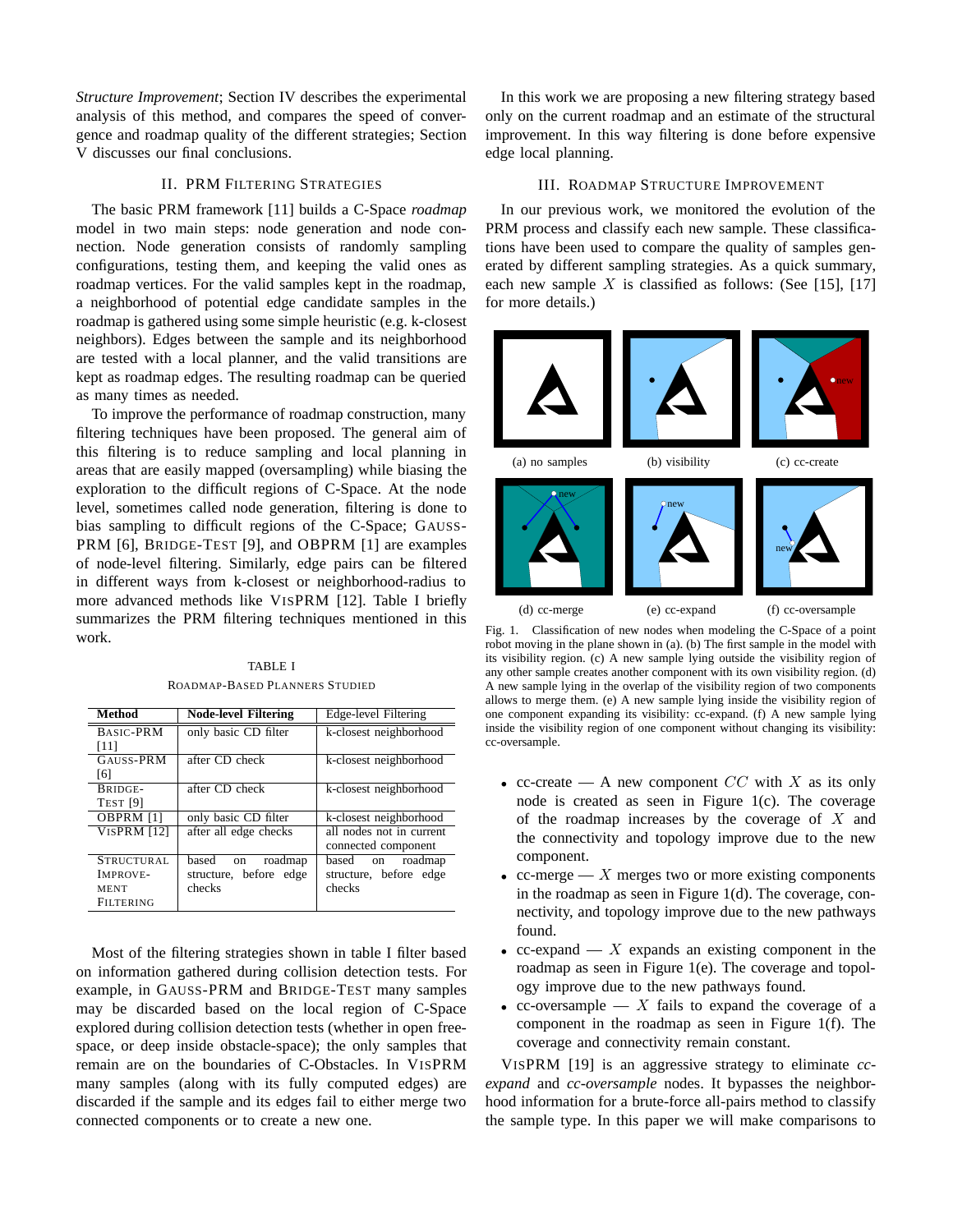*Structure Improvement*; Section IV describes the experimental analysis of this method, and compares the speed of convergence and roadmap quality of the different strategies; Section V discusses our final conclusions.

### II. PRM FILTERING STRATEGIES

The basic PRM framework [11] builds a C-Space *roadmap* model in two main steps: node generation and node connection. Node generation consists of randomly sampling configurations, testing them, and keeping the valid ones as roadmap vertices. For the valid samples kept in the roadmap, a neighborhood of potential edge candidate samples in the roadmap is gathered using some simple heuristic (e.g. k-closest neighbors). Edges between the sample and its neighborhood are tested with a local planner, and the valid transitions are kept as roadmap edges. The resulting roadmap can be queried as many times as needed.

To improve the performance of roadmap construction, many filtering techniques have been proposed. The general aim of this filtering is to reduce sampling and local planning in areas that are easily mapped (oversampling) while biasing the exploration to the difficult regions of C-Space. At the node level, sometimes called node generation, filtering is done to bias sampling to difficult regions of the C-Space; GAUSS-PRM [6], BRIDGE-TEST [9], and OBPRM [1] are examples of node-level filtering. Similarly, edge pairs can be filtered in different ways from k-closest or neighborhood-radius to more advanced methods like VISPRM [12]. Table I briefly summarizes the PRM filtering techniques mentioned in this work.

TABLE I ROADMAP-BASED PLANNERS STUDIED

| <b>Method</b>       | <b>Node-level Filtering</b> | Edge-level Filtering     |
|---------------------|-----------------------------|--------------------------|
| BASIC-PRM           | only basic CD filter        | k-closest neighborhood   |
| [11]                |                             |                          |
| GAUSS-PRM           | after CD check              | k-closest neighborhood   |
| [6]                 |                             |                          |
| BRIDGE-             | after CD check              | k-closest neighborhood   |
| TEST <sub>[9]</sub> |                             |                          |
| OBPRM [1]           | only basic CD filter        | k-closest neighborhood   |
| VISPRM [12]         | after all edge checks       | all nodes not in current |
|                     |                             | connected component      |
| <b>STRUCTURAL</b>   | based<br>roadmap<br>on      | roadmap<br>based on      |
| IMPROVE-            | structure, before edge      | structure, before edge   |
| MENT                | checks                      | checks                   |
| <b>FILTERING</b>    |                             |                          |

Most of the filtering strategies shown in table I filter based on information gathered during collision detection tests. For example, in GAUSS-PRM and BRIDGE-TEST many samples may be discarded based on the local region of C-Space explored during collision detection tests (whether in open freespace, or deep inside obstacle-space); the only samples that remain are on the boundaries of C-Obstacles. In VISPRM many samples (along with its fully computed edges) are discarded if the sample and its edges fail to either merge two connected components or to create a new one.

In this work we are proposing a new filtering strategy based only on the current roadmap and an estimate of the structural improvement. In this way filtering is done before expensive edge local planning.

#### III. ROADMAP STRUCTURE IMPROVEMENT

In our previous work, we monitored the evolution of the PRM process and classify each new sample. These classifications have been used to compare the quality of samples generated by different sampling strategies. As a quick summary, each new sample X is classified as follows: (See [15], [17] for more details.)



Fig. 1. Classification of new nodes when modeling the C-Space of a point robot moving in the plane shown in (a). (b) The first sample in the model with its visibility region. (c) A new sample lying outside the visibility region of any other sample creates another component with its own visibility region. (d) A new sample lying in the overlap of the visibility region of two components allows to merge them. (e) A new sample lying inside the visibility region of one component expanding its visibility: cc-expand. (f) A new sample lying inside the visibility region of one component without changing its visibility: cc-oversample.

- cc-create A new component  $CC$  with X as its only node is created as seen in Figure 1(c). The coverage of the roadmap increases by the coverage of  $X$  and the connectivity and topology improve due to the new component.
- cc-merge X merges two or more existing components in the roadmap as seen in Figure 1(d). The coverage, connectivity, and topology improve due to the new pathways found.
- cc-expand  $X$  expands an existing component in the roadmap as seen in Figure 1(e). The coverage and topology improve due to the new pathways found.
- cc-oversample X fails to expand the coverage of a component in the roadmap as seen in Figure 1(f). The coverage and connectivity remain constant.

VISPRM [19] is an aggressive strategy to eliminate *ccexpand* and *cc-oversample* nodes. It bypasses the neighborhood information for a brute-force all-pairs method to classify the sample type. In this paper we will make comparisons to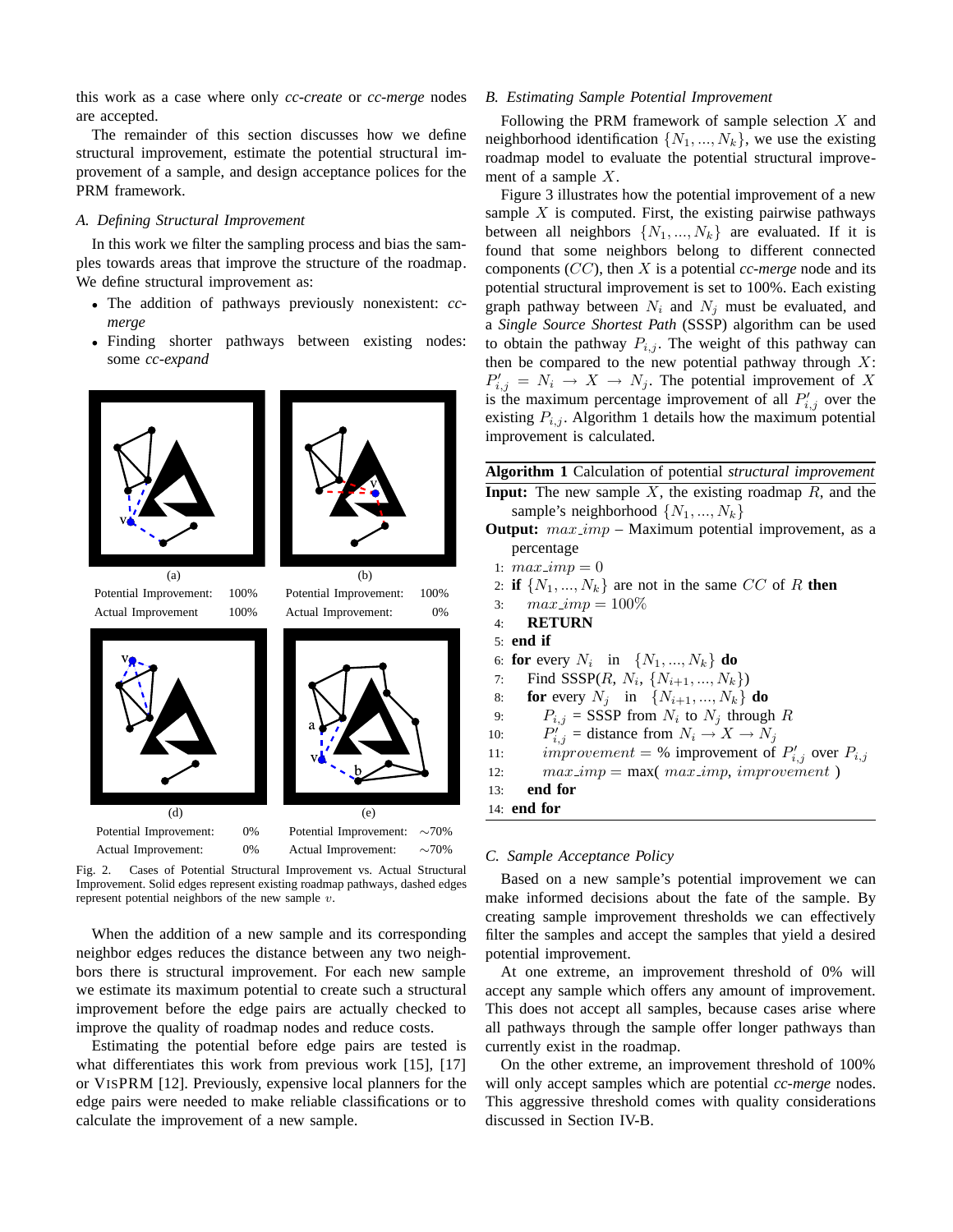this work as a case where only *cc-create* or *cc-merge* nodes are accepted.

The remainder of this section discusses how we define structural improvement, estimate the potential structural improvement of a sample, and design acceptance polices for the PRM framework.

#### *A. Defining Structural Improvement*

In this work we filter the sampling process and bias the samples towards areas that improve the structure of the roadmap. We define structural improvement as:

- The addition of pathways previously nonexistent: *ccmerge*
- Finding shorter pathways between existing nodes: some *cc-expand*



Fig. 2. Cases of Potential Structural Improvement vs. Actual Structural Improvement. Solid edges represent existing roadmap pathways, dashed edges represent potential neighbors of the new sample  $v$ .

When the addition of a new sample and its corresponding neighbor edges reduces the distance between any two neighbors there is structural improvement. For each new sample we estimate its maximum potential to create such a structural improvement before the edge pairs are actually checked to improve the quality of roadmap nodes and reduce costs.

Estimating the potential before edge pairs are tested is what differentiates this work from previous work [15], [17] or VISPRM [12]. Previously, expensive local planners for the edge pairs were needed to make reliable classifications or to calculate the improvement of a new sample.

#### *B. Estimating Sample Potential Improvement*

Following the PRM framework of sample selection  $X$  and neighborhood identification  $\{N_1, ..., N_k\}$ , we use the existing roadmap model to evaluate the potential structural improvement of a sample X.

Figure 3 illustrates how the potential improvement of a new sample  $X$  is computed. First, the existing pairwise pathways between all neighbors  $\{N_1, ..., N_k\}$  are evaluated. If it is found that some neighbors belong to different connected components (CC), then X is a potential *cc-merge* node and its potential structural improvement is set to 100%. Each existing graph pathway between  $N_i$  and  $N_j$  must be evaluated, and a *Single Source Shortest Path* (SSSP) algorithm can be used to obtain the pathway  $P_{i,j}$ . The weight of this pathway can then be compared to the new potential pathway through  $X$ :  $P'_{i,j} = N_i \rightarrow X \rightarrow N_j$ . The potential improvement of X is the maximum percentage improvement of all  $P'_{i,j}$  over the existing  $P_{i,j}$ . Algorithm 1 details how the maximum potential improvement is calculated.

**Algorithm 1** Calculation of potential *structural improvement* **Input:** The new sample  $X$ , the existing roadmap  $\overline{R}$ , and the

- sample's neighborhood  $\{N_1, ..., N_k\}$ **Output:**  $max\$ {imp} - Maximum potential improvement, as a percentage
- 1:  $max\,imp=0$
- 2: **if**  $\{N_1, ..., N_k\}$  are not in the same CC of R **then**
- 3:  $max\_imp = 100\%$
- 4: **RETURN**
- 5: **end if**
- 6: **for** every  $N_i$  in  $\{N_1, ..., N_k\}$  **do**
- 7: Find SSSP $(R, N_i, \{N_{i+1}, ..., N_k\})$
- 8: **for** every  $N_j$  in  $\{N_{i+1},...,N_k\}$  **do**
- 
- 9:  $P_{i,j} = \text{SSSP from } N_i \text{ to } N_j \text{ through } R$ <br>0:  $P'_{i,j} = \text{distance from } N_i \rightarrow X \rightarrow N_j$  $10:$
- 11: *improvement* = % improvement of  $P'_{i,j}$  over  $P_{i,j}$
- 12:  $max\_{imp} = max(max\_{imp},\,improvement)$

```
13: end for
```

```
14: end for
```
#### *C. Sample Acceptance Policy*

Based on a new sample's potential improvement we can make informed decisions about the fate of the sample. By creating sample improvement thresholds we can effectively filter the samples and accept the samples that yield a desired potential improvement.

At one extreme, an improvement threshold of 0% will accept any sample which offers any amount of improvement. This does not accept all samples, because cases arise where all pathways through the sample offer longer pathways than currently exist in the roadmap.

On the other extreme, an improvement threshold of 100% will only accept samples which are potential *cc-merge* nodes. This aggressive threshold comes with quality considerations discussed in Section IV-B.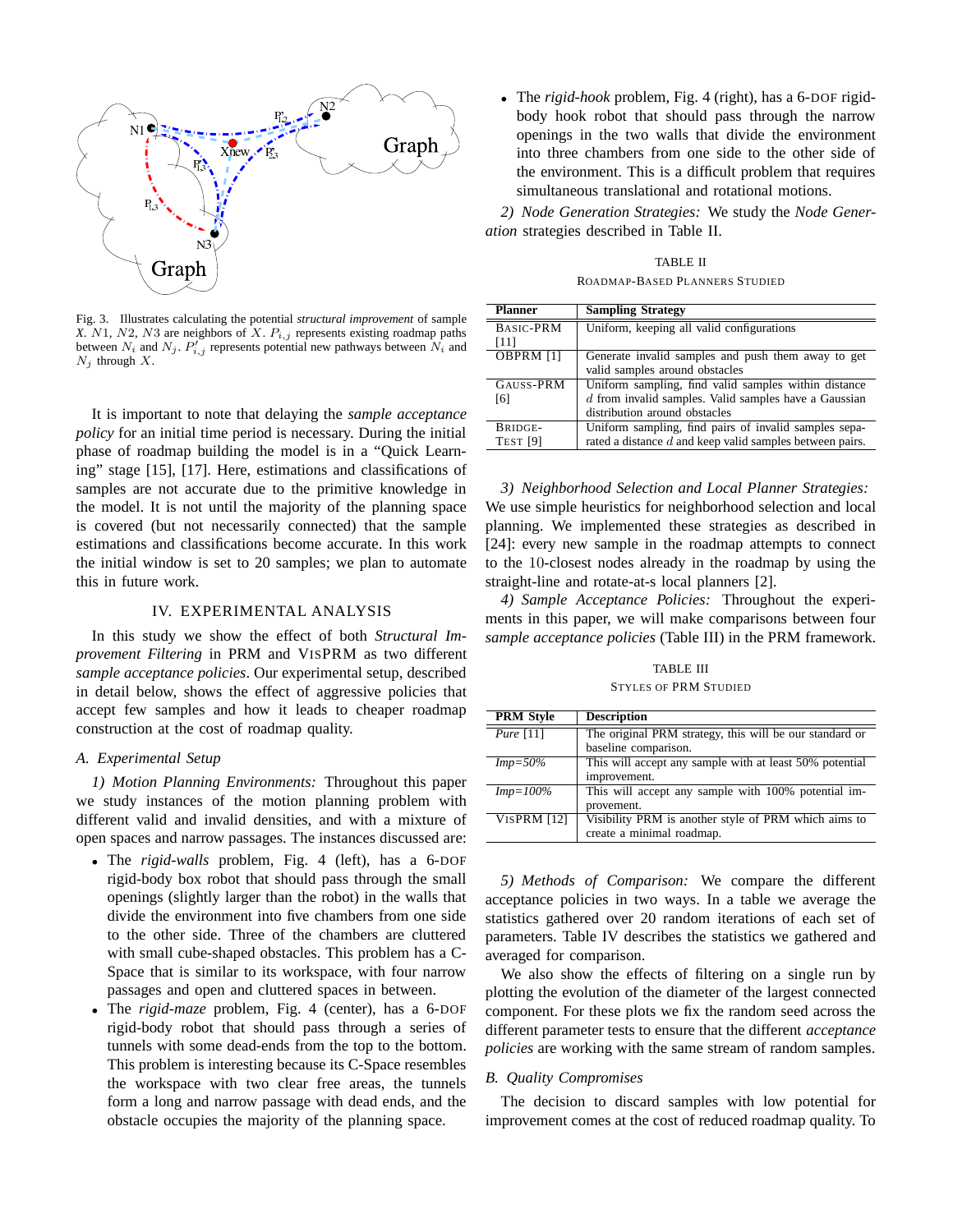

Fig. 3. Illustrates calculating the potential *structural improvement* of sample *X*. N1, N2, N3 are neighbors of X.  $P_{i,j}$  represents existing roadmap paths between  $N_i$  and  $N_j$ .  $P'_{i,j}$  represents potential new pathways between  $N_i$  and  $N_j$  through  $X$ .

It is important to note that delaying the *sample acceptance policy* for an initial time period is necessary. During the initial phase of roadmap building the model is in a "Quick Learning" stage [15], [17]. Here, estimations and classifications of samples are not accurate due to the primitive knowledge in the model. It is not until the majority of the planning space is covered (but not necessarily connected) that the sample estimations and classifications become accurate. In this work the initial window is set to 20 samples; we plan to automate this in future work.

#### IV. EXPERIMENTAL ANALYSIS

In this study we show the effect of both *Structural Improvement Filtering* in PRM and VISPRM as two different *sample acceptance policies*. Our experimental setup, described in detail below, shows the effect of aggressive policies that accept few samples and how it leads to cheaper roadmap construction at the cost of roadmap quality.

#### *A. Experimental Setup*

*1) Motion Planning Environments:* Throughout this paper we study instances of the motion planning problem with different valid and invalid densities, and with a mixture of open spaces and narrow passages. The instances discussed are:

- The *rigid-walls* problem, Fig. 4 (left), has a 6-DOF rigid-body box robot that should pass through the small openings (slightly larger than the robot) in the walls that divide the environment into five chambers from one side to the other side. Three of the chambers are cluttered with small cube-shaped obstacles. This problem has a C-Space that is similar to its workspace, with four narrow passages and open and cluttered spaces in between.
- The *rigid-maze* problem, Fig. 4 (center), has a 6-DOF rigid-body robot that should pass through a series of tunnels with some dead-ends from the top to the bottom. This problem is interesting because its C-Space resembles the workspace with two clear free areas, the tunnels form a long and narrow passage with dead ends, and the obstacle occupies the majority of the planning space.

• The *rigid-hook* problem, Fig. 4 (right), has a 6-DOF rigidbody hook robot that should pass through the narrow openings in the two walls that divide the environment into three chambers from one side to the other side of the environment. This is a difficult problem that requires simultaneous translational and rotational motions.

*2) Node Generation Strategies:* We study the *Node Generation* strategies described in Table II.

TABLE II ROADMAP-BASED PLANNERS STUDIED

| <b>Planner</b>      | <b>Sampling Strategy</b>                                   |
|---------------------|------------------------------------------------------------|
| BASIC-PRM           | Uniform, keeping all valid configurations                  |
| [11]                |                                                            |
| OBPRM [1]           | Generate invalid samples and push them away to get         |
|                     | valid samples around obstacles                             |
| GAUSS-PRM           | Uniform sampling, find valid samples within distance       |
| [6]                 | $d$ from invalid samples. Valid samples have a Gaussian    |
|                     | distribution around obstacles                              |
| BRIDGE-             | Uniform sampling, find pairs of invalid samples sepa-      |
| TEST <sub>[9]</sub> | rated a distance $d$ and keep valid samples between pairs. |

*3) Neighborhood Selection and Local Planner Strategies:* We use simple heuristics for neighborhood selection and local planning. We implemented these strategies as described in [24]: every new sample in the roadmap attempts to connect to the 10-closest nodes already in the roadmap by using the straight-line and rotate-at-s local planners [2].

*4) Sample Acceptance Policies:* Throughout the experiments in this paper, we will make comparisons between four *sample acceptance policies* (Table III) in the PRM framework.

TABLE III STYLES OF PRM STUDIED

| <b>PRM Style</b>   | <b>Description</b>                                      |
|--------------------|---------------------------------------------------------|
| $Pure$ [11]        | The original PRM strategy, this will be our standard or |
|                    | baseline comparison.                                    |
| $Imp=50\%$         | This will accept any sample with at least 50% potential |
|                    | improvement.                                            |
| $Imp=100\%$        | This will accept any sample with 100% potential im-     |
|                    | provement.                                              |
| <b>VISPRM [12]</b> | Visibility PRM is another style of PRM which aims to    |
|                    | create a minimal roadmap.                               |

*5) Methods of Comparison:* We compare the different acceptance policies in two ways. In a table we average the statistics gathered over 20 random iterations of each set of parameters. Table IV describes the statistics we gathered and averaged for comparison.

We also show the effects of filtering on a single run by plotting the evolution of the diameter of the largest connected component. For these plots we fix the random seed across the different parameter tests to ensure that the different *acceptance policies* are working with the same stream of random samples.

#### *B. Quality Compromises*

The decision to discard samples with low potential for improvement comes at the cost of reduced roadmap quality. To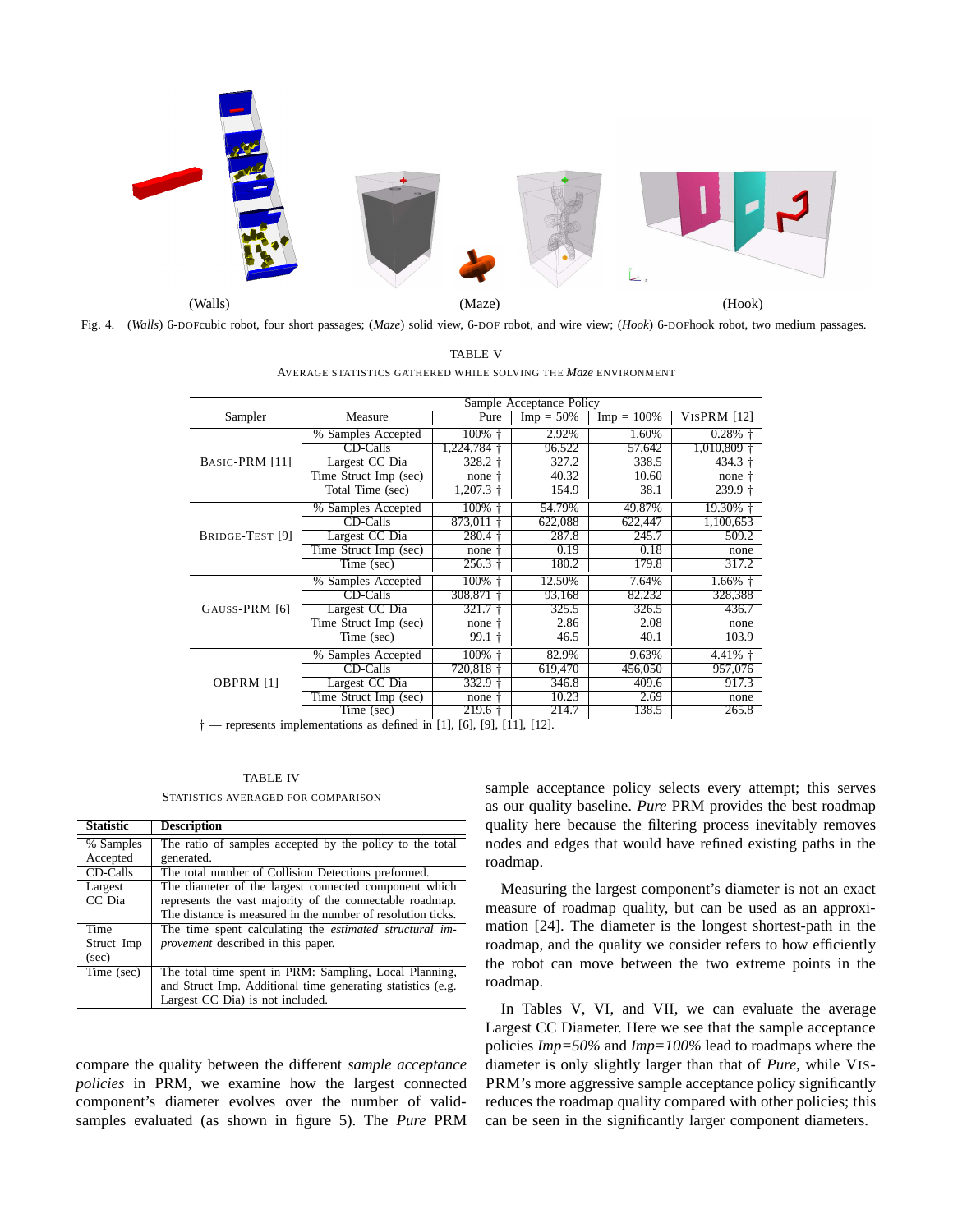

Fig. 4. (*Walls*) 6-DOFcubic robot, four short passages; (*Maze*) solid view, 6-DOF robot, and wire view; (*Hook*) 6-DOFhook robot, two medium passages.

TABLE V AVERAGE STATISTICS GATHERED WHILE SOLVING THE *Maze* ENVIRONMENT

|                 | Sample Acceptance Policy |                          |              |               |             |  |
|-----------------|--------------------------|--------------------------|--------------|---------------|-------------|--|
| Sampler         | Measure                  | Pure                     | $Imp = 50\%$ | $Imp = 100\%$ | VISPRM [12] |  |
|                 | % Samples Accepted       | 100% +                   | 2.92%        | 1.60%         | 0.28%       |  |
|                 | CD-Calls                 | 1,224,784                | 96,522       | 57,642        | 1,010,809   |  |
| BASIC-PRM [11]  | Largest CC Dia           | 328.2                    | 327.2        | 338.5         | 434.3       |  |
|                 | Time Struct Imp (sec)    | none                     | 40.32        | 10.60         | none        |  |
|                 | Total Time (sec)         | 1,207.3                  | 154.9        | 38.1          | 239.9       |  |
|                 | % Samples Accepted       | 100%                     | 54.79%       | 49.87%        | 19.30% +    |  |
|                 | CD-Calls                 | 873,011                  | 622,088      | 622,447       | 1,100,653   |  |
| BRIDGE-TEST [9] | Largest CC Dia           | 280.4                    | 287.8        | 245.7         | 509.2       |  |
|                 | Time Struct Imp (sec)    | none                     | 0.19         | 0.18          | none        |  |
|                 | Time (sec)               | 256.3                    | 180.2        | 179.8         | 317.2       |  |
|                 | % Samples Accepted       | 100%                     | 12.50%       | 7.64%         | $1.66\%$ †  |  |
|                 | CD-Calls                 | 308,871                  | 93,168       | 82,232        | 328,388     |  |
| GAUSS-PRM [6]   | Largest CC Dia           | 321.7                    | 325.5        | 326.5         | 436.7       |  |
|                 | Time Struct Imp (sec)    | none                     | 2.86         | 2.08          | none        |  |
|                 | Time (sec)               | 99.1                     | 46.5         | 40.1          | 103.9       |  |
| OBPRM [1]<br>л. | % Samples Accepted       | 100%                     | 82.9%        | 9.63%         | $4.41\%$ †  |  |
|                 | CD-Calls                 | 720,818                  | 619,470      | 456,050       | 957,076     |  |
|                 | Largest CC Dia           | 332.9                    | 346.8        | 409.6         | 917.3       |  |
|                 | Time Struct Imp (sec)    | none                     | 10.23        | 2.69          | none        |  |
|                 | Time (sec)               | $219.6 \text{ }^{\circ}$ | 214.7        | 138.5         | 265.8       |  |
|                 |                          |                          |              |               |             |  |

 $-$  represents implementations as defined in [1], [6], [9], [11], [12].

#### TABLE IV STATISTICS AVERAGED FOR COMPARISON

| <b>Statistic</b>            | <b>Description</b>                                                                                                                                                               |
|-----------------------------|----------------------------------------------------------------------------------------------------------------------------------------------------------------------------------|
| % Samples<br>Accepted       | The ratio of samples accepted by the policy to the total<br>generated.                                                                                                           |
| CD-Calls                    | The total number of Collision Detections preformed.                                                                                                                              |
| Largest<br>CC Dia           | The diameter of the largest connected component which<br>represents the vast majority of the connectable roadmap.<br>The distance is measured in the number of resolution ticks. |
| Time<br>Struct Imp<br>(sec) | The time spent calculating the <i>estimated structural im-</i><br><i>provement</i> described in this paper.                                                                      |
| Time (sec)                  | The total time spent in PRM: Sampling, Local Planning,<br>and Struct Imp. Additional time generating statistics (e.g.<br>Largest CC Dia) is not included.                        |

compare the quality between the different *sample acceptance policies* in PRM, we examine how the largest connected component's diameter evolves over the number of validsamples evaluated (as shown in figure 5). The *Pure* PRM

sample acceptance policy selects every attempt; this serves as our quality baseline. *Pure* PRM provides the best roadmap quality here because the filtering process inevitably removes nodes and edges that would have refined existing paths in the roadmap.

Measuring the largest component's diameter is not an exact measure of roadmap quality, but can be used as an approximation [24]. The diameter is the longest shortest-path in the roadmap, and the quality we consider refers to how efficiently the robot can move between the two extreme points in the roadmap.

In Tables V, VI, and VII, we can evaluate the average Largest CC Diameter. Here we see that the sample acceptance policies *Imp=50%* and *Imp=100%* lead to roadmaps where the diameter is only slightly larger than that of *Pure*, while VIS-PRM's more aggressive sample acceptance policy significantly reduces the roadmap quality compared with other policies; this can be seen in the significantly larger component diameters.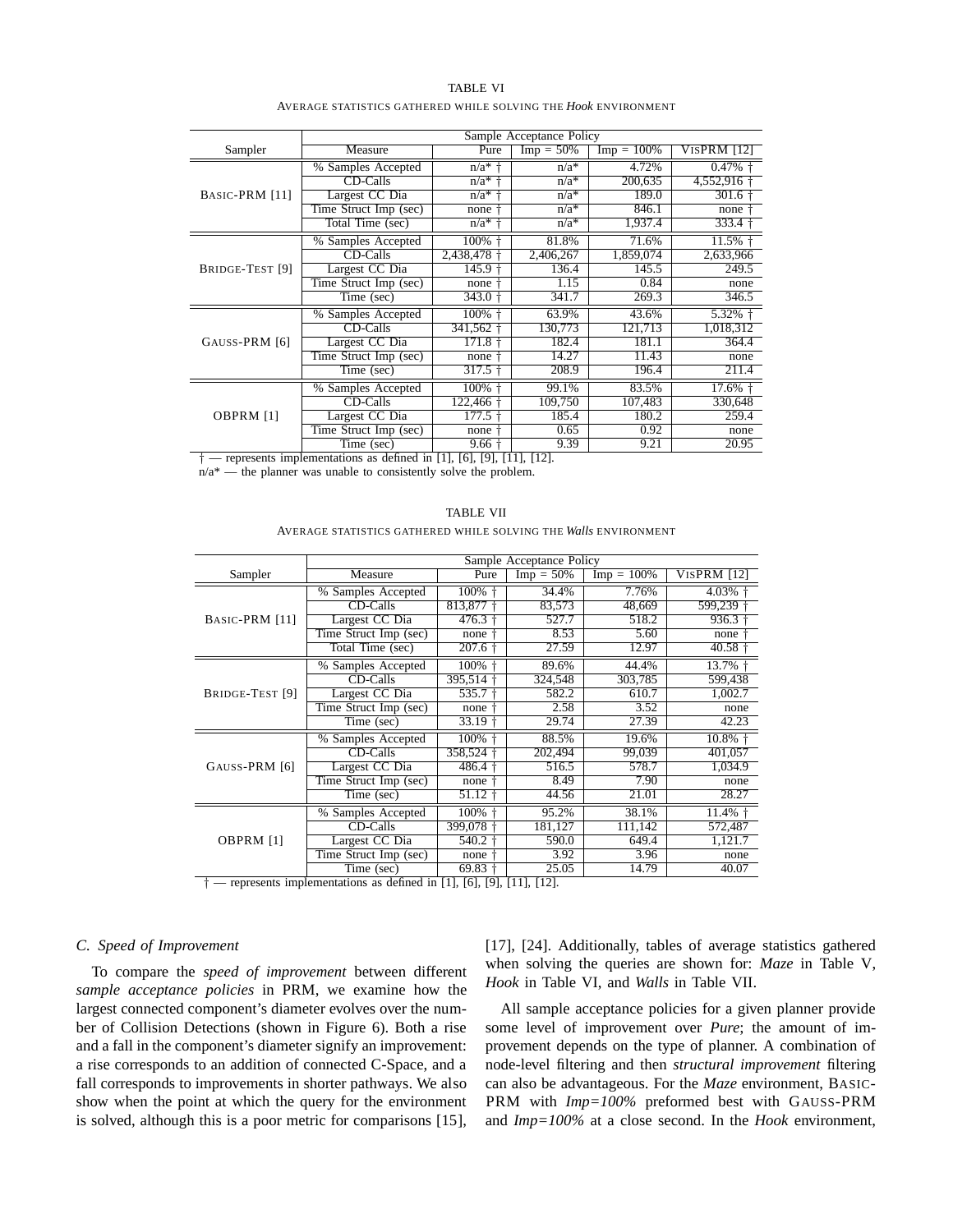| TABLE VI                                                              |  |  |  |  |  |
|-----------------------------------------------------------------------|--|--|--|--|--|
| AVERAGE STATISTICS GATHERED WHILE SOLVING THE <i>Hook</i> ENVIRONMENT |  |  |  |  |  |

|                 | Sample Acceptance Policy |                    |              |               |             |
|-----------------|--------------------------|--------------------|--------------|---------------|-------------|
| Sampler         | Measure                  | Pure               | $Imp = 50\%$ | $Imp = 100\%$ | VISPRM [12] |
|                 | % Samples Accepted       | $n/a*$ +           | $n/a*$       | 4.72%         | 0.47%       |
|                 | CD-Calls                 | $n/a*$             | $n/a^*$      | 200.635       | 4,552,916   |
| BASIC-PRM [11]  | Largest CC Dia           | $n/a*$             | $n/a^*$      | 189.0         | 301.6       |
|                 | Time Struct Imp (sec)    | none               | $n/a^*$      | 846.1         | none        |
|                 | Total Time (sec)         | $n/a*$             | $n/a^*$      | 1,937.4       | 333.4       |
|                 | % Samples Accepted       | 100%               | 81.8%        | 71.6%         | $11.5%$ †   |
|                 | CD-Calls                 | 2,438,478          | 2,406,267    | 1,859,074     | 2,633,966   |
| BRIDGE-TEST [9] | Largest CC Dia           | 145.9              | 136.4        | 145.5         | 249.5       |
|                 | Time Struct Imp (sec)    | none               | 1.15         | 0.84          | none        |
|                 | Time (sec)               | $343.0 +$          | 341.7        | 269.3         | 346.5       |
|                 | % Samples Accepted       | 100%               | 63.9%        | 43.6%         | $5.32\%$ †  |
|                 | CD-Calls                 | 341,562            | 130.773      | 121.713       | 1,018,312   |
| GAUSS-PRM [6]   | Largest CC Dia           | 171.8              | 182.4        | 181.1         | 364.4       |
|                 | Time Struct Imp (sec)    | none               | 14.27        | 11.43         | none        |
|                 | Time (sec)               | $317.5 \text{ }^+$ | 208.9        | 196.4         | 211.4       |
| OBPRM [1]       | % Samples Accepted       | 100%               | 99.1%        | 83.5%         | $17.6\%$ †  |
|                 | CD-Calls                 | 122,466            | 109,750      | 107,483       | 330,648     |
|                 | Largest CC Dia           | 177.5              | 185.4        | 180.2         | 259.4       |
|                 | Time Struct Imp (sec)    | none               | 0.65         | 0.92          | none        |
|                 | Time (sec)               | 9.66               | 9.39         | 9.21          | 20.95       |

 $\dagger$  — represents implementations as defined in [1], [6], [9], [11], [12].

n/a\* — the planner was unable to consistently solve the problem.

| AVERAGE STATISTICS GATHERED WHILE SOLVING THE Walls ENVIRONMENT |                          |      |                         |                      |      |  |
|-----------------------------------------------------------------|--------------------------|------|-------------------------|----------------------|------|--|
|                                                                 | Sample Acceptance Policy |      |                         |                      |      |  |
| npler                                                           | Measure                  | Pure | $\text{Im} \rho = 50\%$ | $\text{Imp} = 100\%$ | VisP |  |
|                                                                 |                          |      |                         |                      |      |  |

TABLE VII

| Measure                  | Pure                                                                        | $Imp = 50\%$ | $Imp = 100\%$  | <b>VISPRM [12]</b> |
|--------------------------|-----------------------------------------------------------------------------|--------------|----------------|--------------------|
| % Samples Accepted       | 100%                                                                        | 34.4%        | 7.76%          | $4.03\%$ †         |
| CD-Calls                 | $813,877$ +                                                                 | 83.573       | 48.669         | 599,239            |
| Largest CC Dia           | 476.3                                                                       | 527.7        | 518.2          | 936.3              |
| Time Struct Imp (sec)    | none                                                                        | 8.53         | 5.60           | none               |
|                          | 207.6                                                                       |              | 12.97          | $40.58 +$          |
| % Samples Accepted       | 100%                                                                        | 89.6%        | 44.4%          | 13.7% +            |
| CD-Calls                 | 395,514                                                                     | 324,548      | 303,785        | 599,438            |
| Largest CC Dia           | $535.7 +$                                                                   | 582.2        | 610.7          | 1,002.7            |
| Time Struct Imp (sec)    | none                                                                        | 2.58         | 3.52           | none               |
| Time (sec)               | 33.19                                                                       | 29.74        | 27.39          | 42.23              |
| % Samples Accepted       | 100%                                                                        | 88.5%        | 19.6%          | $10.8\%$ +         |
| CD-Calls                 | 358,524                                                                     | 202,494      | 99,039         | 401.057            |
| Largest CC Dia           | 486.4                                                                       | 516.5        | 578.7          | 1.034.9            |
|                          | none                                                                        | 8.49         | 7.90           | none               |
|                          |                                                                             |              |                | 28.27              |
| Samples Accepted<br>$\%$ | 100%                                                                        | 95.2%        | 38.1%          | 11.4% +            |
| CD-Calls                 | 399,078                                                                     | 181,127      | 111,142        | 572,487            |
| Largest CC Dia           | 540.2                                                                       | 590.0        | 649.4          | 1,121.7            |
| Time Struct Imp (sec)    | none                                                                        | 3.92         | 3.96           | none               |
| Time (sec)               | $69.83 \text{ }^{\circ}$                                                    | 25.05        | 14.79          | 40.07              |
|                          | Total Time (sec)<br>Time Struct $\overline{\text{Imp}}$ (sec)<br>Time (sec) | 51.12        | 27.59<br>44.56 | 21.01              |

 $-$  represents implementations as defined in [1], [6], [9], [11], [12].

## *C. Speed of Improvement*

To compare the *speed of improvement* between different *sample acceptance policies* in PRM, we examine how the largest connected component's diameter evolves over the number of Collision Detections (shown in Figure 6). Both a rise and a fall in the component's diameter signify an improvement: a rise corresponds to an addition of connected C-Space, and a fall corresponds to improvements in shorter pathways. We also show when the point at which the query for the environment is solved, although this is a poor metric for comparisons [15], [17], [24]. Additionally, tables of average statistics gathered when solving the queries are shown for: *Maze* in Table V, *Hook* in Table VI, and *Walls* in Table VII.

All sample acceptance policies for a given planner provide some level of improvement over *Pure*; the amount of improvement depends on the type of planner. A combination of node-level filtering and then *structural improvement* filtering can also be advantageous. For the *Maze* environment, BASIC-PRM with *Imp=100%* preformed best with GAUSS-PRM and *Imp=100%* at a close second. In the *Hook* environment,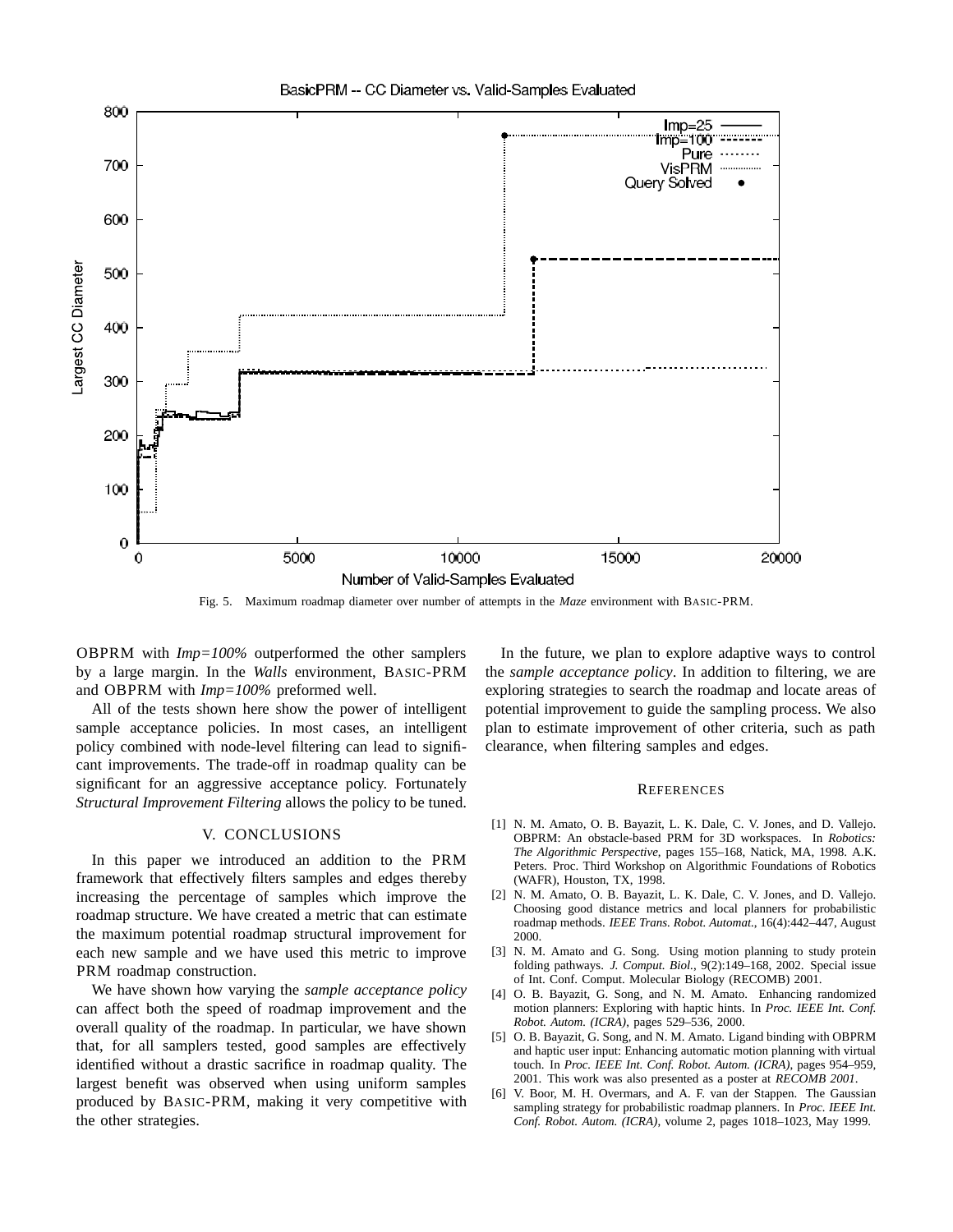

### Fig. 5. Maximum roadmap diameter over number of attempts in the *Maze* environment with BASIC-PRM.

OBPRM with *Imp=100%* outperformed the other samplers by a large margin. In the *Walls* environment, BASIC-PRM and OBPRM with *Imp=100%* preformed well.

All of the tests shown here show the power of intelligent sample acceptance policies. In most cases, an intelligent policy combined with node-level filtering can lead to significant improvements. The trade-off in roadmap quality can be significant for an aggressive acceptance policy. Fortunately *Structural Improvement Filtering* allows the policy to be tuned.

#### V. CONCLUSIONS

In this paper we introduced an addition to the PRM framework that effectively filters samples and edges thereby increasing the percentage of samples which improve the roadmap structure. We have created a metric that can estimate the maximum potential roadmap structural improvement for each new sample and we have used this metric to improve PRM roadmap construction.

We have shown how varying the *sample acceptance policy* can affect both the speed of roadmap improvement and the overall quality of the roadmap. In particular, we have shown that, for all samplers tested, good samples are effectively identified without a drastic sacrifice in roadmap quality. The largest benefit was observed when using uniform samples produced by BASIC-PRM, making it very competitive with the other strategies.

In the future, we plan to explore adaptive ways to control the *sample acceptance policy*. In addition to filtering, we are exploring strategies to search the roadmap and locate areas of potential improvement to guide the sampling process. We also plan to estimate improvement of other criteria, such as path clearance, when filtering samples and edges.

#### **REFERENCES**

- [1] N. M. Amato, O. B. Bayazit, L. K. Dale, C. V. Jones, and D. Vallejo. OBPRM: An obstacle-based PRM for 3D workspaces. In *Robotics: The Algorithmic Perspective*, pages 155–168, Natick, MA, 1998. A.K. Peters. Proc. Third Workshop on Algorithmic Foundations of Robotics (WAFR), Houston, TX, 1998.
- [2] N. M. Amato, O. B. Bayazit, L. K. Dale, C. V. Jones, and D. Vallejo. Choosing good distance metrics and local planners for probabilistic roadmap methods. *IEEE Trans. Robot. Automat.*, 16(4):442–447, August 2000.
- [3] N. M. Amato and G. Song. Using motion planning to study protein folding pathways. *J. Comput. Biol.*, 9(2):149–168, 2002. Special issue of Int. Conf. Comput. Molecular Biology (RECOMB) 2001.
- [4] O. B. Bayazit, G. Song, and N. M. Amato. Enhancing randomized motion planners: Exploring with haptic hints. In *Proc. IEEE Int. Conf. Robot. Autom. (ICRA)*, pages 529–536, 2000.
- [5] O. B. Bayazit, G. Song, and N. M. Amato. Ligand binding with OBPRM and haptic user input: Enhancing automatic motion planning with virtual touch. In *Proc. IEEE Int. Conf. Robot. Autom. (ICRA)*, pages 954–959, 2001. This work was also presented as a poster at *RECOMB 2001*.
- [6] V. Boor, M. H. Overmars, and A. F. van der Stappen. The Gaussian sampling strategy for probabilistic roadmap planners. In *Proc. IEEE Int. Conf. Robot. Autom. (ICRA)*, volume 2, pages 1018–1023, May 1999.

#### BasicPRM -- CC Diameter vs. Valid-Samples Evaluated